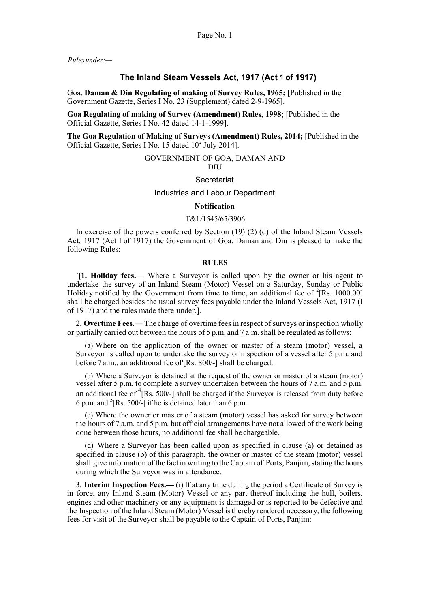Rules under:—

## The Inland Steam Vessels Act, 1917 (Act 1 of 1917)

Goa, Daman & Din Regulating of making of Survey Rules, 1965; [Published in the Government Gazette, Series I No. 23 (Supplement) dated 2-9-1965].

Goa Regulating of making of Survey (Amendment) Rules, 1998; [Published in the Official Gazette, Series I No. 42 dated 14-1-1999].

The Goa Regulation of Making of Surveys (Amendment) Rules, 2014; [Published in the Official Gazette, Series I No. 15 dated 10' July 2014].

# GOVERNMENT OF GOA, DAMAN AND

DIU

### **Secretariat**

### Industries and Labour Department

#### Notification

#### T&L/1545/65/3906

In exercise of the powers conferred by Section (19) (2) (d) of the Inland Steam Vessels Act, 1917 (Act I of 1917) the Government of Goa, Daman and Diu is pleased to make the following Rules:

### RULES

'[1. Holiday fees.— Where a Surveyor is called upon by the owner or his agent to undertake the survey of an Inland Steam (Motor) Vessel on a Saturday, Sunday or Public Holiday notified by the Government from time to time, an additional fee of  $^{2}$ [Rs. 1000.00] shall be charged besides the usual survey fees payable under the Inland Vessels Act, 1917 (I of 1917) and the rules made there under.].

2. Overtime Fees.— The charge of overtime fees in respect of surveys or inspection wholly or partially carried out between the hours of 5 p.m. and 7 a.m. shall be regulated as follows:

(a) Where on the application of the owner or master of a steam (motor) vessel, a Surveyor is called upon to undertake the survey or inspection of a vessel after 5 p.m. and before 7 a.m., an additional fee of'[Rs. 800/-] shall be charged.

(b) Where a Surveyor is detained at the request of the owner or master of a steam (motor) vessel after 5 p.m. to complete a survey undertaken between the hours of 7 a.m. and 5 p.m. an additional fee of  ${}^{4}$ [Rs. 500/-] shall be charged if the Surveyor is released from duty before 6 p.m. and  ${}^{5}$ [Rs. 500/-] if he is detained later than 6 p.m.

(c) Where the owner or master of a steam (motor) vessel has asked for survey between the hours of 7 a.m. and 5 p.m. but official arrangements have not allowed of the work being done between those hours, no additional fee shall be chargeable.

(d) Where a Surveyor has been called upon as specified in clause (a) or detained as specified in clause (b) of this paragraph, the owner or master of the steam (motor) vessel shall give information of the fact in writing to the Captain of Ports, Panjim, stating the hours during which the Surveyor was in attendance.

3. Interim Inspection Fees.— (i) If at any time during the period a Certificate of Survey is in force, any Inland Steam (Motor) Vessel or any part thereof including the hull, boilers, engines and other machinery or any equipment is damaged or is reported to be defective and the Inspection of the Inland Steam (Motor) Vessel is thereby rendered necessary, the following fees for visit of the Surveyor shall be payable to the Captain of Ports, Panjim: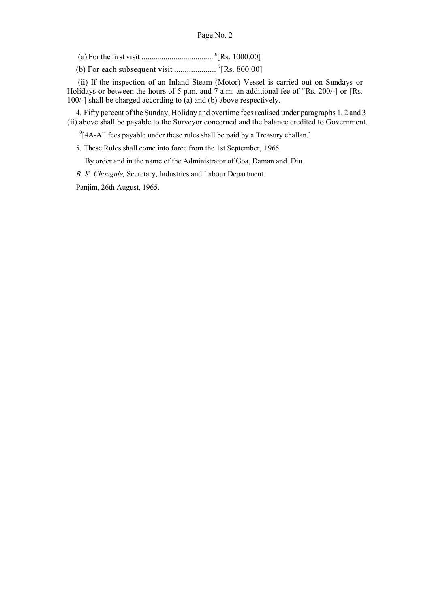(a) For the first visit .................................... <sup>6</sup> [Rs. 1000.00]

(b) For each subsequent visit .................... <sup>7</sup> [Rs. 800.00]

(ii) If the inspection of an Inland Steam (Motor) Vessel is carried out on Sundays or Holidays or between the hours of 5 p.m. and 7 a.m. an additional fee of '[Rs. 200/-] or [Rs. 100/-] shall be charged according to (a) and (b) above respectively.

4. Fifty percent of the Sunday, Holiday and overtime fees realised under paragraphs 1, 2 and 3 (ii) above shall be payable to the Surveyor concerned and the balance credited to Government.

 $'$ <sup>0</sup>[4A-All fees payable under these rules shall be paid by a Treasury challan.]

5. These Rules shall come into force from the 1st September, 1965.

By order and in the name of the Administrator of Goa, Daman and Diu.

B. K. Chougule, Secretary, Industries and Labour Department.

Panjim, 26th August, 1965.